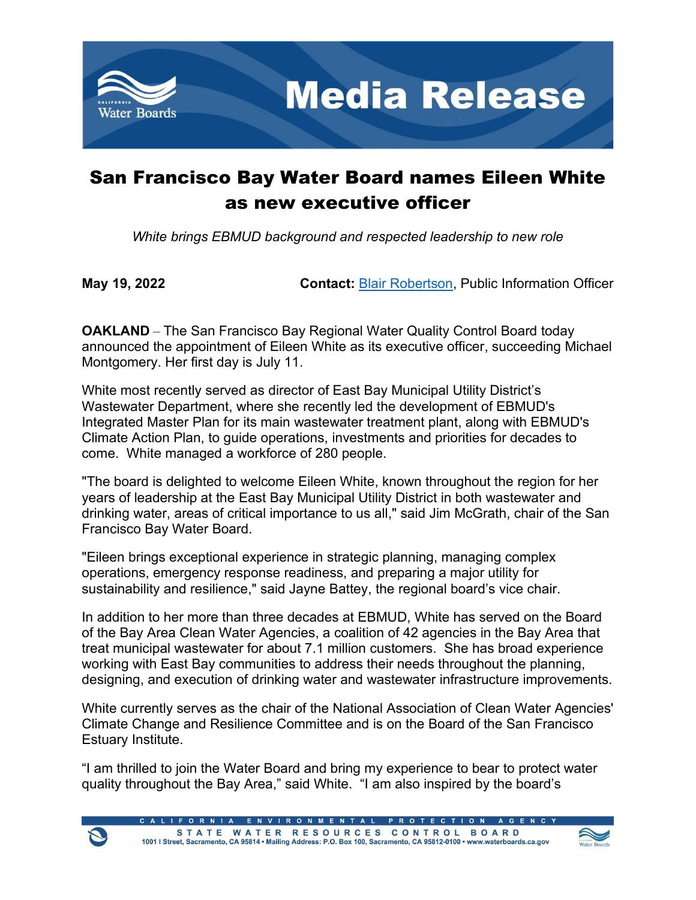

## San Francisco Bay Water Board names Eileen White as new executive officer

*White brings EBMUD background and respected leadership to new role*

**May 19, 2022 Contact:** [Blair Robertson,](mailto:Blair.Robertson@waterboard.ca.gov) Public Information Officer

**OAKLAND** – The San Francisco Bay Regional Water Quality Control Board today announced the appointment of Eileen White as its executive officer, succeeding Michael Montgomery. Her first day is July 11.

White most recently served as director of East Bay Municipal Utility District's Wastewater Department, where she recently led the development of EBMUD's Integrated Master Plan for its main wastewater treatment plant, along with EBMUD's Climate Action Plan, to guide operations, investments and priorities for decades to come. White managed a workforce of 280 people.

"The board is delighted to welcome Eileen White, known throughout the region for her years of leadership at the East Bay Municipal Utility District in both wastewater and drinking water, areas of critical importance to us all," said Jim McGrath, chair of the San Francisco Bay Water Board.

"Eileen brings exceptional experience in strategic planning, managing complex operations, emergency response readiness, and preparing a major utility for sustainability and resilience," said Jayne Battey, the regional board's vice chair.

In addition to her more than three decades at EBMUD, White has served on the Board of the Bay Area Clean Water Agencies, a coalition of 42 agencies in the Bay Area that treat municipal wastewater for about 7.1 million customers. She has broad experience working with East Bay communities to address their needs throughout the planning, designing, and execution of drinking water and wastewater infrastructure improvements.

White currently serves as the chair of the National Association of Clean Water Agencies' Climate Change and Resilience Committee and is on the Board of the San Francisco Estuary Institute.

"I am thrilled to join the Water Board and bring my experience to bear to protect water quality throughout the Bay Area," said White. "I am also inspired by the board's